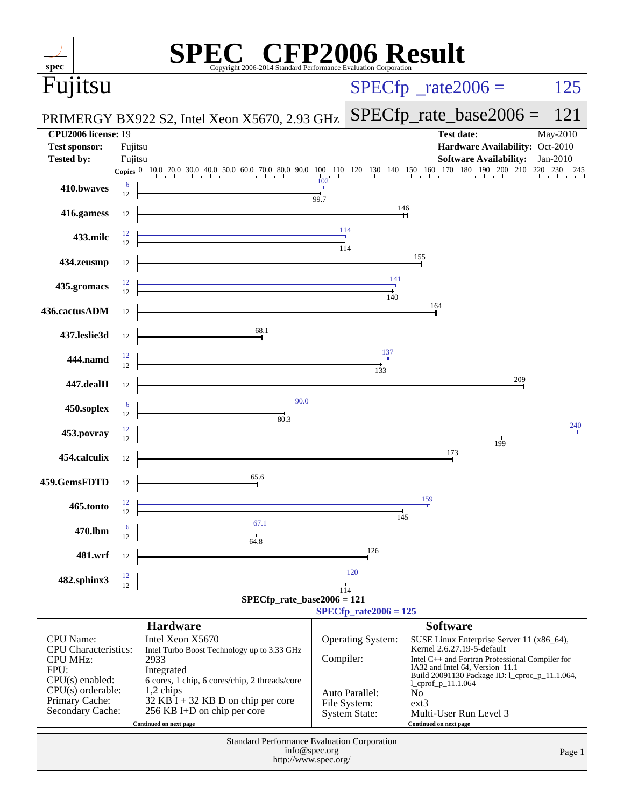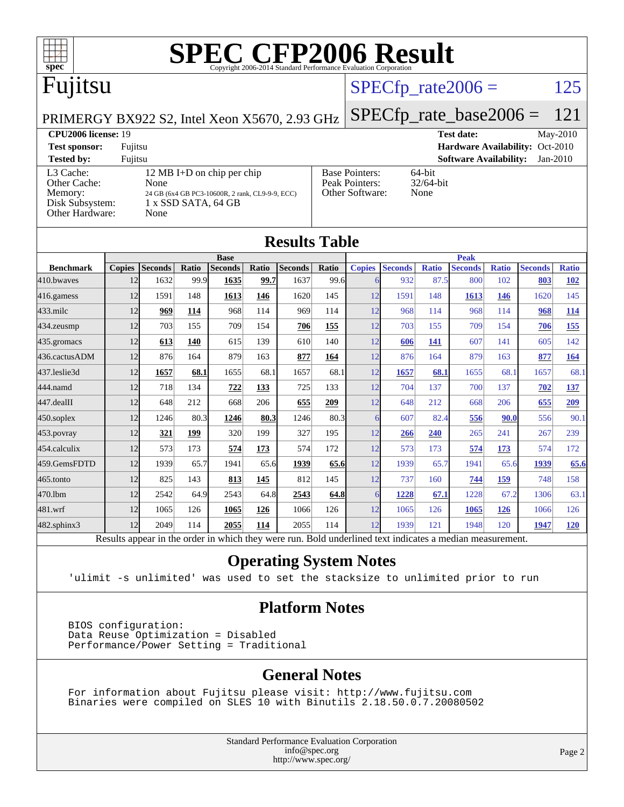

### $SPECTp_rate2006 = 125$

[Base Pointers:](http://www.spec.org/auto/cpu2006/Docs/result-fields.html#BasePointers) 64-bit<br>Peak Pointers: 32/64-bit

[Other Software:](http://www.spec.org/auto/cpu2006/Docs/result-fields.html#OtherSoftware) None

[Peak Pointers:](http://www.spec.org/auto/cpu2006/Docs/result-fields.html#PeakPointers)

PRIMERGY BX922 S2, Intel Xeon X5670, 2.93 GHz

**[CPU2006 license:](http://www.spec.org/auto/cpu2006/Docs/result-fields.html#CPU2006license)** 19 **[Test date:](http://www.spec.org/auto/cpu2006/Docs/result-fields.html#Testdate)** May-2010 **[Test sponsor:](http://www.spec.org/auto/cpu2006/Docs/result-fields.html#Testsponsor)** Fujitsu **[Hardware Availability:](http://www.spec.org/auto/cpu2006/Docs/result-fields.html#HardwareAvailability)** Oct-2010 **[Tested by:](http://www.spec.org/auto/cpu2006/Docs/result-fields.html#Testedby)** Fujitsu **[Software Availability:](http://www.spec.org/auto/cpu2006/Docs/result-fields.html#SoftwareAvailability)** Jan-2010

[L3 Cache:](http://www.spec.org/auto/cpu2006/Docs/result-fields.html#L3Cache) 12 MB I+D on chip per chip<br>Other Cache: None [Other Cache:](http://www.spec.org/auto/cpu2006/Docs/result-fields.html#OtherCache) [Memory:](http://www.spec.org/auto/cpu2006/Docs/result-fields.html#Memory) 24 GB (6x4 GB PC3-10600R, 2 rank, CL9-9-9, ECC) [Disk Subsystem:](http://www.spec.org/auto/cpu2006/Docs/result-fields.html#DiskSubsystem) 1 x SSD SATA, 64 GB

| Other Hardware:<br>None |               |                |       |                |       |                |       |               |                |              |                |              |                |              |
|-------------------------|---------------|----------------|-------|----------------|-------|----------------|-------|---------------|----------------|--------------|----------------|--------------|----------------|--------------|
| <b>Results Table</b>    |               |                |       |                |       |                |       |               |                |              |                |              |                |              |
|                         | <b>Base</b>   |                |       |                |       | <b>Peak</b>    |       |               |                |              |                |              |                |              |
| <b>Benchmark</b>        | <b>Copies</b> | <b>Seconds</b> | Ratio | <b>Seconds</b> | Ratio | <b>Seconds</b> | Ratio | <b>Copies</b> | <b>Seconds</b> | <b>Ratio</b> | <b>Seconds</b> | <b>Ratio</b> | <b>Seconds</b> | <b>Ratio</b> |
| 410.bwaves              | 12            | 1632           | 99.9  | 1635           | 99.7  | 1637           | 99.6  | 6             | 932            | 87.5         | 800            | 102          | 803            | <b>102</b>   |
| 416.gamess              | 12            | 1591           | 148   | 1613           | 146   | 1620           | 145   | 12            | 1591           | 148          | 1613           | <b>146</b>   | 1620           | 145          |
| $433$ .milc             | 12            | 969            | 114   | 968            | 114   | 969            | 114   | 12            | 968            | 114          | 968            | 114          | 968            | 114          |
| 434.zeusmp              | 12            | 703            | 155   | 709            | 154   | 706            | 155   | 12            | 703            | 155          | 709            | 154          | 706            | <u>155</u>   |
| 435.gromacs             | 12            | 613            | 140   | 615            | 139   | 610            | 140   | 12            | 606            | 141          | 607            | 141          | 605            | 142          |
| 436.cactusADM           | 12            | 876            | 164   | 879            | 163   | 877            | 164   | 12            | 876            | 164          | 879            | 163          | 877            | 164          |
| 437.leslie3d            | 12            | 1657           | 68.1  | 1655           | 68.1  | 1657           | 68.1  | 12            | 1657           | 68.1         | 1655           | 68.1         | 1657           | 68.1         |
| 444.namd                | 12            | 718            | 134   | 722            | 133   | 725            | 133   | 12            | 704            | 137          | 700            | 137          | 702            | 137          |
| 447.dealII              | 12            | 648            | 212   | 668            | 206   | 655            | 209   | 12            | 648            | 212          | 668            | 206          | 655            | 209          |
| 450.soplex              | 12            | 1246           | 80.3  | 1246           | 80.3  | 1246           | 80.3  | 6             | 607            | 82.4         | 556            | 90.0         | 556            | 90.1         |
| 453.povray              | 12            | 321            | 199   | 320            | 199   | 327            | 195   | 12            | 266            | 240          | 265            | 241          | 267            | 239          |
| 454.calculix            | 12            | 573            | 173   | 574            | 173   | 574            | 172   | 12            | 573            | 173          | 574            | 173          | 574            | 172          |
| 459.GemsFDTD            | 12            | 1939           | 65.7  | 1941           | 65.6  | 1939           | 65.6  | 12            | 1939           | 65.7         | 1941           | 65.6         | 1939           | 65.6         |
| 465.tonto               | 12            | 825            | 143   | 813            | 145   | 812            | 145   | 12            | 737            | 160          | 744            | 159          | 748            | 158          |

#### Results appear in the [order in which they were run.](http://www.spec.org/auto/cpu2006/Docs/result-fields.html#RunOrder) Bold underlined text [indicates a median measurement.](http://www.spec.org/auto/cpu2006/Docs/result-fields.html#Median) **[Operating System Notes](http://www.spec.org/auto/cpu2006/Docs/result-fields.html#OperatingSystemNotes)**

[470.lbm](http://www.spec.org/auto/cpu2006/Docs/470.lbm.html) 12 2542 64.9 2543 64.8 **[2543](http://www.spec.org/auto/cpu2006/Docs/result-fields.html#Median) [64.8](http://www.spec.org/auto/cpu2006/Docs/result-fields.html#Median)** 6 **[1228](http://www.spec.org/auto/cpu2006/Docs/result-fields.html#Median) [67.1](http://www.spec.org/auto/cpu2006/Docs/result-fields.html#Median)** 1228 67.2 1306 63.1 [481.wrf](http://www.spec.org/auto/cpu2006/Docs/481.wrf.html) 12 1065 126 **[1065](http://www.spec.org/auto/cpu2006/Docs/result-fields.html#Median) [126](http://www.spec.org/auto/cpu2006/Docs/result-fields.html#Median)** 1066 126 12 1065 126 **[1065](http://www.spec.org/auto/cpu2006/Docs/result-fields.html#Median) [126](http://www.spec.org/auto/cpu2006/Docs/result-fields.html#Median)** 1066 126 [482.sphinx3](http://www.spec.org/auto/cpu2006/Docs/482.sphinx3.html) 12 2049 114 **[2055](http://www.spec.org/auto/cpu2006/Docs/result-fields.html#Median) [114](http://www.spec.org/auto/cpu2006/Docs/result-fields.html#Median)** 2055 114 12 1939 121 1948 120 **[1947](http://www.spec.org/auto/cpu2006/Docs/result-fields.html#Median) [120](http://www.spec.org/auto/cpu2006/Docs/result-fields.html#Median)**

'ulimit -s unlimited' was used to set the stacksize to unlimited prior to run

#### **[Platform Notes](http://www.spec.org/auto/cpu2006/Docs/result-fields.html#PlatformNotes)**

 BIOS configuration: Data Reuse Optimization = Disabled Performance/Power Setting = Traditional

#### **[General Notes](http://www.spec.org/auto/cpu2006/Docs/result-fields.html#GeneralNotes)**

 For information about Fujitsu please visit: <http://www.fujitsu.com> Binaries were compiled on SLES 10 with Binutils 2.18.50.0.7.20080502

> Standard Performance Evaluation Corporation [info@spec.org](mailto:info@spec.org) <http://www.spec.org/>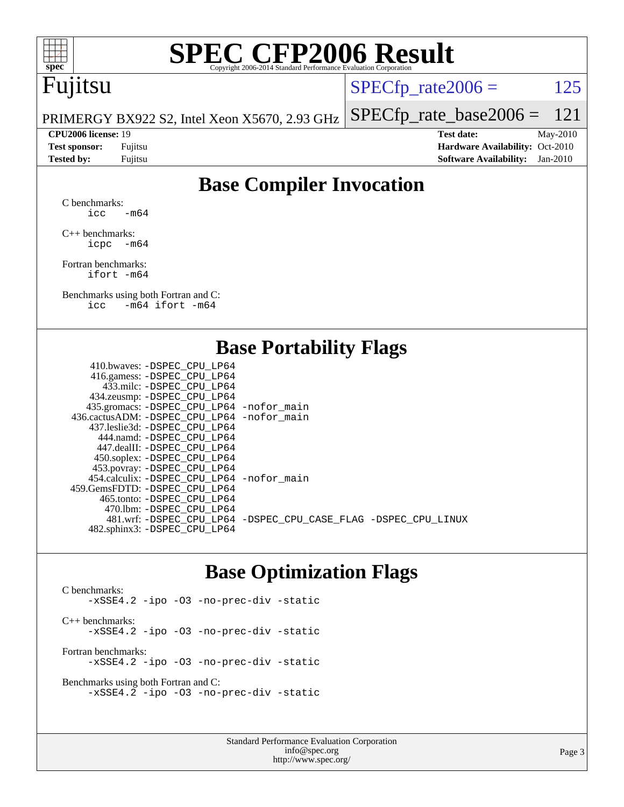

# **[SPEC CFP2006 Result](http://www.spec.org/auto/cpu2006/Docs/result-fields.html#SPECCFP2006Result)**

# Fujitsu

 $SPECTp_rate2006 = 125$ 

PRIMERGY BX922 S2, Intel Xeon X5670, 2.93 GHz [SPECfp\\_rate\\_base2006 =](http://www.spec.org/auto/cpu2006/Docs/result-fields.html#SPECfpratebase2006) 121

**[CPU2006 license:](http://www.spec.org/auto/cpu2006/Docs/result-fields.html#CPU2006license)** 19 **[Test date:](http://www.spec.org/auto/cpu2006/Docs/result-fields.html#Testdate)** May-2010 **[Test sponsor:](http://www.spec.org/auto/cpu2006/Docs/result-fields.html#Testsponsor)** Fujitsu **[Hardware Availability:](http://www.spec.org/auto/cpu2006/Docs/result-fields.html#HardwareAvailability)** Oct-2010 **[Tested by:](http://www.spec.org/auto/cpu2006/Docs/result-fields.html#Testedby)** Fujitsu **[Software Availability:](http://www.spec.org/auto/cpu2006/Docs/result-fields.html#SoftwareAvailability)** Jan-2010

### **[Base Compiler Invocation](http://www.spec.org/auto/cpu2006/Docs/result-fields.html#BaseCompilerInvocation)**

[C benchmarks](http://www.spec.org/auto/cpu2006/Docs/result-fields.html#Cbenchmarks):  $\text{icc}$  -m64

[C++ benchmarks:](http://www.spec.org/auto/cpu2006/Docs/result-fields.html#CXXbenchmarks) [icpc -m64](http://www.spec.org/cpu2006/results/res2010q3/cpu2006-20100702-12101.flags.html#user_CXXbase_intel_icpc_64bit_bedb90c1146cab66620883ef4f41a67e)

[Fortran benchmarks](http://www.spec.org/auto/cpu2006/Docs/result-fields.html#Fortranbenchmarks): [ifort -m64](http://www.spec.org/cpu2006/results/res2010q3/cpu2006-20100702-12101.flags.html#user_FCbase_intel_ifort_64bit_ee9d0fb25645d0210d97eb0527dcc06e)

[Benchmarks using both Fortran and C](http://www.spec.org/auto/cpu2006/Docs/result-fields.html#BenchmarksusingbothFortranandC): [icc -m64](http://www.spec.org/cpu2006/results/res2010q3/cpu2006-20100702-12101.flags.html#user_CC_FCbase_intel_icc_64bit_0b7121f5ab7cfabee23d88897260401c) [ifort -m64](http://www.spec.org/cpu2006/results/res2010q3/cpu2006-20100702-12101.flags.html#user_CC_FCbase_intel_ifort_64bit_ee9d0fb25645d0210d97eb0527dcc06e)

### **[Base Portability Flags](http://www.spec.org/auto/cpu2006/Docs/result-fields.html#BasePortabilityFlags)**

| 416.gamess: -DSPEC_CPU_LP64                                    |
|----------------------------------------------------------------|
|                                                                |
| 433.milc: -DSPEC CPU LP64                                      |
| 434.zeusmp: -DSPEC_CPU_LP64                                    |
| 435.gromacs: -DSPEC_CPU_LP64 -nofor_main                       |
| 436.cactusADM: - DSPEC CPU LP64 - nofor main                   |
| 437.leslie3d: -DSPEC CPU LP64                                  |
| 444.namd: - DSPEC CPU LP64                                     |
| 447.dealII: -DSPEC_CPU LP64                                    |
| 450.soplex: -DSPEC_CPU_LP64                                    |
| 453.povray: -DSPEC_CPU_LP64                                    |
| 454.calculix: - DSPEC CPU LP64 - nofor main                    |
| 459.GemsFDTD: -DSPEC_CPU LP64                                  |
| 465.tonto: - DSPEC_CPU LP64                                    |
| 470.1bm: -DSPEC CPU LP64                                       |
| 481.wrf: -DSPEC CPU_LP64 -DSPEC_CPU_CASE_FLAG -DSPEC_CPU_LINUX |
| 482.sphinx3: -DSPEC_CPU_LP64                                   |

### **[Base Optimization Flags](http://www.spec.org/auto/cpu2006/Docs/result-fields.html#BaseOptimizationFlags)**

[C benchmarks](http://www.spec.org/auto/cpu2006/Docs/result-fields.html#Cbenchmarks): [-xSSE4.2](http://www.spec.org/cpu2006/results/res2010q3/cpu2006-20100702-12101.flags.html#user_CCbase_f-xSSE42_f91528193cf0b216347adb8b939d4107) [-ipo](http://www.spec.org/cpu2006/results/res2010q3/cpu2006-20100702-12101.flags.html#user_CCbase_f-ipo) [-O3](http://www.spec.org/cpu2006/results/res2010q3/cpu2006-20100702-12101.flags.html#user_CCbase_f-O3) [-no-prec-div](http://www.spec.org/cpu2006/results/res2010q3/cpu2006-20100702-12101.flags.html#user_CCbase_f-no-prec-div) [-static](http://www.spec.org/cpu2006/results/res2010q3/cpu2006-20100702-12101.flags.html#user_CCbase_f-static) [C++ benchmarks:](http://www.spec.org/auto/cpu2006/Docs/result-fields.html#CXXbenchmarks) [-xSSE4.2](http://www.spec.org/cpu2006/results/res2010q3/cpu2006-20100702-12101.flags.html#user_CXXbase_f-xSSE42_f91528193cf0b216347adb8b939d4107) [-ipo](http://www.spec.org/cpu2006/results/res2010q3/cpu2006-20100702-12101.flags.html#user_CXXbase_f-ipo) [-O3](http://www.spec.org/cpu2006/results/res2010q3/cpu2006-20100702-12101.flags.html#user_CXXbase_f-O3) [-no-prec-div](http://www.spec.org/cpu2006/results/res2010q3/cpu2006-20100702-12101.flags.html#user_CXXbase_f-no-prec-div) [-static](http://www.spec.org/cpu2006/results/res2010q3/cpu2006-20100702-12101.flags.html#user_CXXbase_f-static) [Fortran benchmarks](http://www.spec.org/auto/cpu2006/Docs/result-fields.html#Fortranbenchmarks): [-xSSE4.2](http://www.spec.org/cpu2006/results/res2010q3/cpu2006-20100702-12101.flags.html#user_FCbase_f-xSSE42_f91528193cf0b216347adb8b939d4107) [-ipo](http://www.spec.org/cpu2006/results/res2010q3/cpu2006-20100702-12101.flags.html#user_FCbase_f-ipo) [-O3](http://www.spec.org/cpu2006/results/res2010q3/cpu2006-20100702-12101.flags.html#user_FCbase_f-O3) [-no-prec-div](http://www.spec.org/cpu2006/results/res2010q3/cpu2006-20100702-12101.flags.html#user_FCbase_f-no-prec-div) [-static](http://www.spec.org/cpu2006/results/res2010q3/cpu2006-20100702-12101.flags.html#user_FCbase_f-static)

[Benchmarks using both Fortran and C](http://www.spec.org/auto/cpu2006/Docs/result-fields.html#BenchmarksusingbothFortranandC): [-xSSE4.2](http://www.spec.org/cpu2006/results/res2010q3/cpu2006-20100702-12101.flags.html#user_CC_FCbase_f-xSSE42_f91528193cf0b216347adb8b939d4107) [-ipo](http://www.spec.org/cpu2006/results/res2010q3/cpu2006-20100702-12101.flags.html#user_CC_FCbase_f-ipo) [-O3](http://www.spec.org/cpu2006/results/res2010q3/cpu2006-20100702-12101.flags.html#user_CC_FCbase_f-O3) [-no-prec-div](http://www.spec.org/cpu2006/results/res2010q3/cpu2006-20100702-12101.flags.html#user_CC_FCbase_f-no-prec-div) [-static](http://www.spec.org/cpu2006/results/res2010q3/cpu2006-20100702-12101.flags.html#user_CC_FCbase_f-static)

> Standard Performance Evaluation Corporation [info@spec.org](mailto:info@spec.org) <http://www.spec.org/>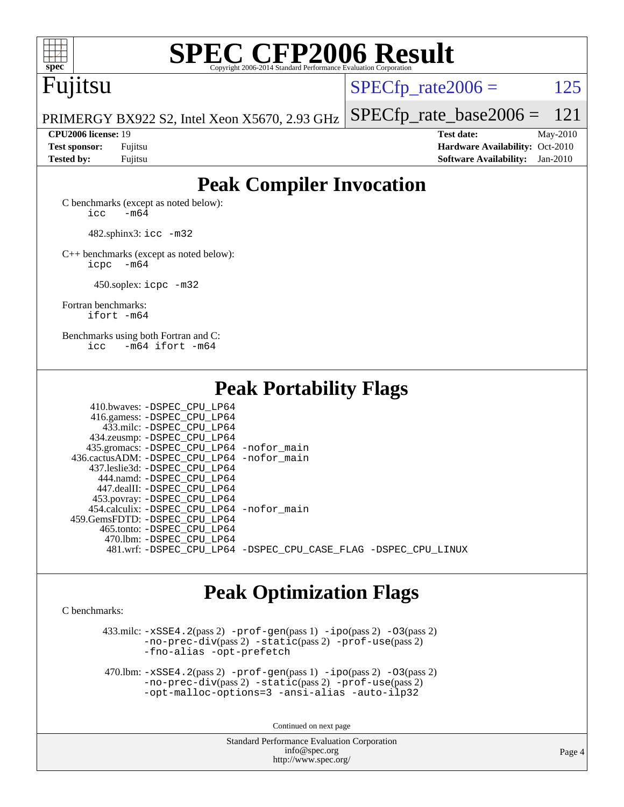

# **[SPEC CFP2006 Result](http://www.spec.org/auto/cpu2006/Docs/result-fields.html#SPECCFP2006Result)**

# Fujitsu

 $SPECTp\_rate2006 = 125$ 

[SPECfp\\_rate\\_base2006 =](http://www.spec.org/auto/cpu2006/Docs/result-fields.html#SPECfpratebase2006) 121

PRIMERGY BX922 S2, Intel Xeon X5670, 2.93 GHz

**[CPU2006 license:](http://www.spec.org/auto/cpu2006/Docs/result-fields.html#CPU2006license)** 19 **[Test date:](http://www.spec.org/auto/cpu2006/Docs/result-fields.html#Testdate)** May-2010 **[Test sponsor:](http://www.spec.org/auto/cpu2006/Docs/result-fields.html#Testsponsor)** Fujitsu **[Hardware Availability:](http://www.spec.org/auto/cpu2006/Docs/result-fields.html#HardwareAvailability)** Oct-2010 **[Tested by:](http://www.spec.org/auto/cpu2006/Docs/result-fields.html#Testedby)** Fujitsu **[Software Availability:](http://www.spec.org/auto/cpu2006/Docs/result-fields.html#SoftwareAvailability)** Jan-2010

## **[Peak Compiler Invocation](http://www.spec.org/auto/cpu2006/Docs/result-fields.html#PeakCompilerInvocation)**

[C benchmarks \(except as noted below\)](http://www.spec.org/auto/cpu2006/Docs/result-fields.html#Cbenchmarksexceptasnotedbelow):  $\text{icc}$   $-\text{m64}$ 

482.sphinx3: [icc -m32](http://www.spec.org/cpu2006/results/res2010q3/cpu2006-20100702-12101.flags.html#user_peakCCLD482_sphinx3_intel_icc_32bit_a6a621f8d50482236b970c6ac5f55f93)

[C++ benchmarks \(except as noted below\):](http://www.spec.org/auto/cpu2006/Docs/result-fields.html#CXXbenchmarksexceptasnotedbelow) [icpc -m64](http://www.spec.org/cpu2006/results/res2010q3/cpu2006-20100702-12101.flags.html#user_CXXpeak_intel_icpc_64bit_bedb90c1146cab66620883ef4f41a67e)

450.soplex: [icpc -m32](http://www.spec.org/cpu2006/results/res2010q3/cpu2006-20100702-12101.flags.html#user_peakCXXLD450_soplex_intel_icpc_32bit_4e5a5ef1a53fd332b3c49e69c3330699)

[Fortran benchmarks](http://www.spec.org/auto/cpu2006/Docs/result-fields.html#Fortranbenchmarks): [ifort -m64](http://www.spec.org/cpu2006/results/res2010q3/cpu2006-20100702-12101.flags.html#user_FCpeak_intel_ifort_64bit_ee9d0fb25645d0210d97eb0527dcc06e)

[Benchmarks using both Fortran and C](http://www.spec.org/auto/cpu2006/Docs/result-fields.html#BenchmarksusingbothFortranandC): [icc -m64](http://www.spec.org/cpu2006/results/res2010q3/cpu2006-20100702-12101.flags.html#user_CC_FCpeak_intel_icc_64bit_0b7121f5ab7cfabee23d88897260401c) [ifort -m64](http://www.spec.org/cpu2006/results/res2010q3/cpu2006-20100702-12101.flags.html#user_CC_FCpeak_intel_ifort_64bit_ee9d0fb25645d0210d97eb0527dcc06e)

**[Peak Portability Flags](http://www.spec.org/auto/cpu2006/Docs/result-fields.html#PeakPortabilityFlags)**

| 410.bwaves: -DSPEC CPU LP64                 |                                                                |
|---------------------------------------------|----------------------------------------------------------------|
| 416.gamess: -DSPEC_CPU_LP64                 |                                                                |
| 433.milc: -DSPEC CPU LP64                   |                                                                |
| 434.zeusmp: -DSPEC_CPU_LP64                 |                                                                |
| 435.gromacs: -DSPEC_CPU_LP64 -nofor_main    |                                                                |
| 436.cactusADM: -DSPEC CPU LP64 -nofor main  |                                                                |
| 437.leslie3d: -DSPEC CPU LP64               |                                                                |
| 444.namd: -DSPEC CPU LP64                   |                                                                |
| 447.dealII: -DSPEC CPU LP64                 |                                                                |
| 453.povray: -DSPEC_CPU_LP64                 |                                                                |
| 454.calculix: - DSPEC CPU LP64 - nofor main |                                                                |
| 459. GemsFDTD: - DSPEC CPU LP64             |                                                                |
| 465.tonto: -DSPEC CPU LP64                  |                                                                |
| 470.1bm: -DSPEC CPU LP64                    |                                                                |
|                                             | 481.wrf: -DSPEC_CPU_LP64 -DSPEC_CPU_CASE_FLAG -DSPEC_CPU_LINUX |
|                                             |                                                                |

## **[Peak Optimization Flags](http://www.spec.org/auto/cpu2006/Docs/result-fields.html#PeakOptimizationFlags)**

[C benchmarks](http://www.spec.org/auto/cpu2006/Docs/result-fields.html#Cbenchmarks):

 $433 \text{.}$ milc:  $-xSSE4$ .  $2(\text{pass 2})$  - $\text{prof-gen}(\text{pass 1})$  - $\text{ipo}(\text{pass 2})$  - $03(\text{pass 2})$ [-no-prec-div](http://www.spec.org/cpu2006/results/res2010q3/cpu2006-20100702-12101.flags.html#user_peakPASS2_CFLAGSPASS2_LDFLAGS433_milc_f-no-prec-div)(pass 2) [-static](http://www.spec.org/cpu2006/results/res2010q3/cpu2006-20100702-12101.flags.html#user_peakPASS2_CFLAGSPASS2_LDFLAGS433_milc_f-static)(pass 2) [-prof-use](http://www.spec.org/cpu2006/results/res2010q3/cpu2006-20100702-12101.flags.html#user_peakPASS2_CFLAGSPASS2_LDFLAGS433_milc_prof_use_bccf7792157ff70d64e32fe3e1250b55)(pass 2) [-fno-alias](http://www.spec.org/cpu2006/results/res2010q3/cpu2006-20100702-12101.flags.html#user_peakOPTIMIZE433_milc_f-no-alias_694e77f6c5a51e658e82ccff53a9e63a) [-opt-prefetch](http://www.spec.org/cpu2006/results/res2010q3/cpu2006-20100702-12101.flags.html#user_peakOPTIMIZE433_milc_f-opt-prefetch)

 470.lbm: [-xSSE4.2](http://www.spec.org/cpu2006/results/res2010q3/cpu2006-20100702-12101.flags.html#user_peakPASS2_CFLAGSPASS2_LDFLAGS470_lbm_f-xSSE42_f91528193cf0b216347adb8b939d4107)(pass 2) [-prof-gen](http://www.spec.org/cpu2006/results/res2010q3/cpu2006-20100702-12101.flags.html#user_peakPASS1_CFLAGSPASS1_LDFLAGS470_lbm_prof_gen_e43856698f6ca7b7e442dfd80e94a8fc)(pass 1) [-ipo](http://www.spec.org/cpu2006/results/res2010q3/cpu2006-20100702-12101.flags.html#user_peakPASS2_CFLAGSPASS2_LDFLAGS470_lbm_f-ipo)(pass 2) [-O3](http://www.spec.org/cpu2006/results/res2010q3/cpu2006-20100702-12101.flags.html#user_peakPASS2_CFLAGSPASS2_LDFLAGS470_lbm_f-O3)(pass 2) [-no-prec-div](http://www.spec.org/cpu2006/results/res2010q3/cpu2006-20100702-12101.flags.html#user_peakPASS2_CFLAGSPASS2_LDFLAGS470_lbm_f-no-prec-div)(pass 2) [-static](http://www.spec.org/cpu2006/results/res2010q3/cpu2006-20100702-12101.flags.html#user_peakPASS2_CFLAGSPASS2_LDFLAGS470_lbm_f-static)(pass 2) [-prof-use](http://www.spec.org/cpu2006/results/res2010q3/cpu2006-20100702-12101.flags.html#user_peakPASS2_CFLAGSPASS2_LDFLAGS470_lbm_prof_use_bccf7792157ff70d64e32fe3e1250b55)(pass 2) [-opt-malloc-options=3](http://www.spec.org/cpu2006/results/res2010q3/cpu2006-20100702-12101.flags.html#user_peakOPTIMIZE470_lbm_f-opt-malloc-options_13ab9b803cf986b4ee62f0a5998c2238) [-ansi-alias](http://www.spec.org/cpu2006/results/res2010q3/cpu2006-20100702-12101.flags.html#user_peakOPTIMIZE470_lbm_f-ansi-alias) [-auto-ilp32](http://www.spec.org/cpu2006/results/res2010q3/cpu2006-20100702-12101.flags.html#user_peakCOPTIMIZE470_lbm_f-auto-ilp32)

Continued on next page

Standard Performance Evaluation Corporation [info@spec.org](mailto:info@spec.org) <http://www.spec.org/>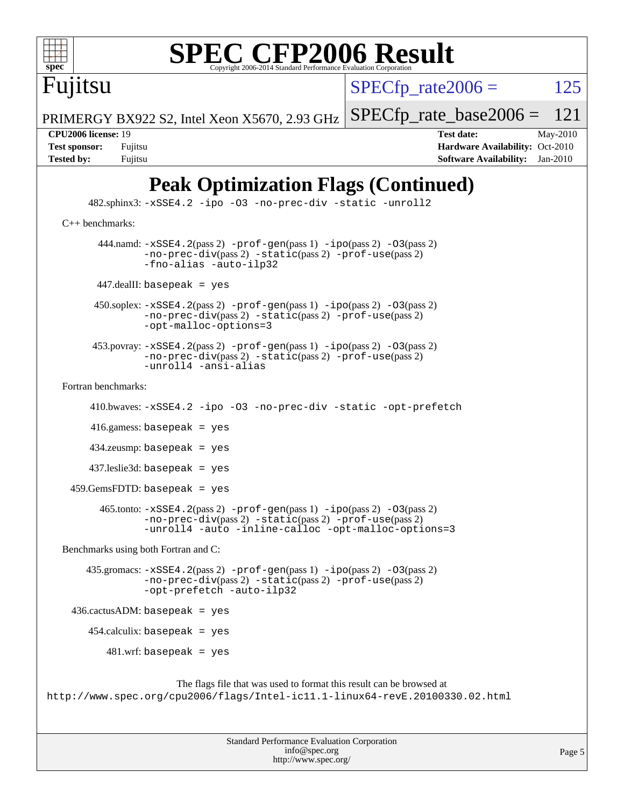

# **[SPEC CFP2006 Result](http://www.spec.org/auto/cpu2006/Docs/result-fields.html#SPECCFP2006Result)**

Fujitsu

 $SPECTp\_rate2006 = 125$ 

[SPECfp\\_rate\\_base2006 =](http://www.spec.org/auto/cpu2006/Docs/result-fields.html#SPECfpratebase2006) 121

PRIMERGY BX922 S2, Intel Xeon X5670, 2.93 GHz

**[CPU2006 license:](http://www.spec.org/auto/cpu2006/Docs/result-fields.html#CPU2006license)** 19 **[Test date:](http://www.spec.org/auto/cpu2006/Docs/result-fields.html#Testdate)** May-2010 **[Test sponsor:](http://www.spec.org/auto/cpu2006/Docs/result-fields.html#Testsponsor)** Fujitsu **[Hardware Availability:](http://www.spec.org/auto/cpu2006/Docs/result-fields.html#HardwareAvailability)** Oct-2010 **[Tested by:](http://www.spec.org/auto/cpu2006/Docs/result-fields.html#Testedby)** Fujitsu **[Software Availability:](http://www.spec.org/auto/cpu2006/Docs/result-fields.html#SoftwareAvailability)** Jan-2010

## **[Peak Optimization Flags \(Continued\)](http://www.spec.org/auto/cpu2006/Docs/result-fields.html#PeakOptimizationFlags)**

 482.sphinx3: [-xSSE4.2](http://www.spec.org/cpu2006/results/res2010q3/cpu2006-20100702-12101.flags.html#user_peakOPTIMIZE482_sphinx3_f-xSSE42_f91528193cf0b216347adb8b939d4107) [-ipo](http://www.spec.org/cpu2006/results/res2010q3/cpu2006-20100702-12101.flags.html#user_peakOPTIMIZE482_sphinx3_f-ipo) [-O3](http://www.spec.org/cpu2006/results/res2010q3/cpu2006-20100702-12101.flags.html#user_peakOPTIMIZE482_sphinx3_f-O3) [-no-prec-div](http://www.spec.org/cpu2006/results/res2010q3/cpu2006-20100702-12101.flags.html#user_peakOPTIMIZE482_sphinx3_f-no-prec-div) [-static](http://www.spec.org/cpu2006/results/res2010q3/cpu2006-20100702-12101.flags.html#user_peakOPTIMIZE482_sphinx3_f-static) [-unroll2](http://www.spec.org/cpu2006/results/res2010q3/cpu2006-20100702-12101.flags.html#user_peakCOPTIMIZE482_sphinx3_f-unroll_784dae83bebfb236979b41d2422d7ec2) [C++ benchmarks:](http://www.spec.org/auto/cpu2006/Docs/result-fields.html#CXXbenchmarks) 444.namd:  $-xSSE4$ . 2(pass 2)  $-prof-gen(pass 1) -ipo(pass 2) -O3(pass 2)$  $-prof-gen(pass 1) -ipo(pass 2) -O3(pass 2)$  $-prof-gen(pass 1) -ipo(pass 2) -O3(pass 2)$  $-prof-gen(pass 1) -ipo(pass 2) -O3(pass 2)$  $-prof-gen(pass 1) -ipo(pass 2) -O3(pass 2)$  $-prof-gen(pass 1) -ipo(pass 2) -O3(pass 2)$ [-no-prec-div](http://www.spec.org/cpu2006/results/res2010q3/cpu2006-20100702-12101.flags.html#user_peakPASS2_CXXFLAGSPASS2_LDFLAGS444_namd_f-no-prec-div)(pass 2) [-static](http://www.spec.org/cpu2006/results/res2010q3/cpu2006-20100702-12101.flags.html#user_peakPASS2_CXXFLAGSPASS2_LDFLAGS444_namd_f-static)(pass 2) [-prof-use](http://www.spec.org/cpu2006/results/res2010q3/cpu2006-20100702-12101.flags.html#user_peakPASS2_CXXFLAGSPASS2_LDFLAGS444_namd_prof_use_bccf7792157ff70d64e32fe3e1250b55)(pass 2) [-fno-alias](http://www.spec.org/cpu2006/results/res2010q3/cpu2006-20100702-12101.flags.html#user_peakCXXOPTIMIZE444_namd_f-no-alias_694e77f6c5a51e658e82ccff53a9e63a) [-auto-ilp32](http://www.spec.org/cpu2006/results/res2010q3/cpu2006-20100702-12101.flags.html#user_peakCXXOPTIMIZE444_namd_f-auto-ilp32) 447.dealII: basepeak = yes 450.soplex: [-xSSE4.2](http://www.spec.org/cpu2006/results/res2010q3/cpu2006-20100702-12101.flags.html#user_peakPASS2_CXXFLAGSPASS2_LDFLAGS450_soplex_f-xSSE42_f91528193cf0b216347adb8b939d4107)(pass 2) [-prof-gen](http://www.spec.org/cpu2006/results/res2010q3/cpu2006-20100702-12101.flags.html#user_peakPASS1_CXXFLAGSPASS1_LDFLAGS450_soplex_prof_gen_e43856698f6ca7b7e442dfd80e94a8fc)(pass 1) [-ipo](http://www.spec.org/cpu2006/results/res2010q3/cpu2006-20100702-12101.flags.html#user_peakPASS2_CXXFLAGSPASS2_LDFLAGS450_soplex_f-ipo)(pass 2) [-O3](http://www.spec.org/cpu2006/results/res2010q3/cpu2006-20100702-12101.flags.html#user_peakPASS2_CXXFLAGSPASS2_LDFLAGS450_soplex_f-O3)(pass 2) [-no-prec-div](http://www.spec.org/cpu2006/results/res2010q3/cpu2006-20100702-12101.flags.html#user_peakPASS2_CXXFLAGSPASS2_LDFLAGS450_soplex_f-no-prec-div)(pass 2) [-static](http://www.spec.org/cpu2006/results/res2010q3/cpu2006-20100702-12101.flags.html#user_peakPASS2_CXXFLAGSPASS2_LDFLAGS450_soplex_f-static)(pass 2) [-prof-use](http://www.spec.org/cpu2006/results/res2010q3/cpu2006-20100702-12101.flags.html#user_peakPASS2_CXXFLAGSPASS2_LDFLAGS450_soplex_prof_use_bccf7792157ff70d64e32fe3e1250b55)(pass 2) [-opt-malloc-options=3](http://www.spec.org/cpu2006/results/res2010q3/cpu2006-20100702-12101.flags.html#user_peakOPTIMIZE450_soplex_f-opt-malloc-options_13ab9b803cf986b4ee62f0a5998c2238) 453.povray: [-xSSE4.2](http://www.spec.org/cpu2006/results/res2010q3/cpu2006-20100702-12101.flags.html#user_peakPASS2_CXXFLAGSPASS2_LDFLAGS453_povray_f-xSSE42_f91528193cf0b216347adb8b939d4107)(pass 2) [-prof-gen](http://www.spec.org/cpu2006/results/res2010q3/cpu2006-20100702-12101.flags.html#user_peakPASS1_CXXFLAGSPASS1_LDFLAGS453_povray_prof_gen_e43856698f6ca7b7e442dfd80e94a8fc)(pass 1) [-ipo](http://www.spec.org/cpu2006/results/res2010q3/cpu2006-20100702-12101.flags.html#user_peakPASS2_CXXFLAGSPASS2_LDFLAGS453_povray_f-ipo)(pass 2) [-O3](http://www.spec.org/cpu2006/results/res2010q3/cpu2006-20100702-12101.flags.html#user_peakPASS2_CXXFLAGSPASS2_LDFLAGS453_povray_f-O3)(pass 2) [-no-prec-div](http://www.spec.org/cpu2006/results/res2010q3/cpu2006-20100702-12101.flags.html#user_peakPASS2_CXXFLAGSPASS2_LDFLAGS453_povray_f-no-prec-div)(pass 2) [-static](http://www.spec.org/cpu2006/results/res2010q3/cpu2006-20100702-12101.flags.html#user_peakPASS2_CXXFLAGSPASS2_LDFLAGS453_povray_f-static)(pass 2) [-prof-use](http://www.spec.org/cpu2006/results/res2010q3/cpu2006-20100702-12101.flags.html#user_peakPASS2_CXXFLAGSPASS2_LDFLAGS453_povray_prof_use_bccf7792157ff70d64e32fe3e1250b55)(pass 2) [-unroll4](http://www.spec.org/cpu2006/results/res2010q3/cpu2006-20100702-12101.flags.html#user_peakCXXOPTIMIZE453_povray_f-unroll_4e5e4ed65b7fd20bdcd365bec371b81f) [-ansi-alias](http://www.spec.org/cpu2006/results/res2010q3/cpu2006-20100702-12101.flags.html#user_peakCXXOPTIMIZE453_povray_f-ansi-alias) [Fortran benchmarks](http://www.spec.org/auto/cpu2006/Docs/result-fields.html#Fortranbenchmarks): 410.bwaves: [-xSSE4.2](http://www.spec.org/cpu2006/results/res2010q3/cpu2006-20100702-12101.flags.html#user_peakOPTIMIZE410_bwaves_f-xSSE42_f91528193cf0b216347adb8b939d4107) [-ipo](http://www.spec.org/cpu2006/results/res2010q3/cpu2006-20100702-12101.flags.html#user_peakOPTIMIZE410_bwaves_f-ipo) [-O3](http://www.spec.org/cpu2006/results/res2010q3/cpu2006-20100702-12101.flags.html#user_peakOPTIMIZE410_bwaves_f-O3) [-no-prec-div](http://www.spec.org/cpu2006/results/res2010q3/cpu2006-20100702-12101.flags.html#user_peakOPTIMIZE410_bwaves_f-no-prec-div) [-static](http://www.spec.org/cpu2006/results/res2010q3/cpu2006-20100702-12101.flags.html#user_peakOPTIMIZE410_bwaves_f-static) [-opt-prefetch](http://www.spec.org/cpu2006/results/res2010q3/cpu2006-20100702-12101.flags.html#user_peakOPTIMIZE410_bwaves_f-opt-prefetch) 416.gamess: basepeak = yes  $434$ .zeusmp: basepeak = yes 437.leslie3d: basepeak = yes 459.GemsFDTD: basepeak = yes 465.tonto: [-xSSE4.2](http://www.spec.org/cpu2006/results/res2010q3/cpu2006-20100702-12101.flags.html#user_peakPASS2_FFLAGSPASS2_LDFLAGS465_tonto_f-xSSE42_f91528193cf0b216347adb8b939d4107)(pass 2) [-prof-gen](http://www.spec.org/cpu2006/results/res2010q3/cpu2006-20100702-12101.flags.html#user_peakPASS1_FFLAGSPASS1_LDFLAGS465_tonto_prof_gen_e43856698f6ca7b7e442dfd80e94a8fc)(pass 1) [-ipo](http://www.spec.org/cpu2006/results/res2010q3/cpu2006-20100702-12101.flags.html#user_peakPASS2_FFLAGSPASS2_LDFLAGS465_tonto_f-ipo)(pass 2) [-O3](http://www.spec.org/cpu2006/results/res2010q3/cpu2006-20100702-12101.flags.html#user_peakPASS2_FFLAGSPASS2_LDFLAGS465_tonto_f-O3)(pass 2) [-no-prec-div](http://www.spec.org/cpu2006/results/res2010q3/cpu2006-20100702-12101.flags.html#user_peakPASS2_FFLAGSPASS2_LDFLAGS465_tonto_f-no-prec-div)(pass 2) [-static](http://www.spec.org/cpu2006/results/res2010q3/cpu2006-20100702-12101.flags.html#user_peakPASS2_FFLAGSPASS2_LDFLAGS465_tonto_f-static)(pass 2) [-prof-use](http://www.spec.org/cpu2006/results/res2010q3/cpu2006-20100702-12101.flags.html#user_peakPASS2_FFLAGSPASS2_LDFLAGS465_tonto_prof_use_bccf7792157ff70d64e32fe3e1250b55)(pass 2) [-unroll4](http://www.spec.org/cpu2006/results/res2010q3/cpu2006-20100702-12101.flags.html#user_peakOPTIMIZE465_tonto_f-unroll_4e5e4ed65b7fd20bdcd365bec371b81f) [-auto](http://www.spec.org/cpu2006/results/res2010q3/cpu2006-20100702-12101.flags.html#user_peakOPTIMIZE465_tonto_f-auto) [-inline-calloc](http://www.spec.org/cpu2006/results/res2010q3/cpu2006-20100702-12101.flags.html#user_peakOPTIMIZE465_tonto_f-inline-calloc) [-opt-malloc-options=3](http://www.spec.org/cpu2006/results/res2010q3/cpu2006-20100702-12101.flags.html#user_peakOPTIMIZE465_tonto_f-opt-malloc-options_13ab9b803cf986b4ee62f0a5998c2238) [Benchmarks using both Fortran and C](http://www.spec.org/auto/cpu2006/Docs/result-fields.html#BenchmarksusingbothFortranandC): 435.gromacs: [-xSSE4.2](http://www.spec.org/cpu2006/results/res2010q3/cpu2006-20100702-12101.flags.html#user_peakPASS2_CFLAGSPASS2_FFLAGSPASS2_LDFLAGS435_gromacs_f-xSSE42_f91528193cf0b216347adb8b939d4107)(pass 2) [-prof-gen](http://www.spec.org/cpu2006/results/res2010q3/cpu2006-20100702-12101.flags.html#user_peakPASS1_CFLAGSPASS1_FFLAGSPASS1_LDFLAGS435_gromacs_prof_gen_e43856698f6ca7b7e442dfd80e94a8fc)(pass 1) [-ipo](http://www.spec.org/cpu2006/results/res2010q3/cpu2006-20100702-12101.flags.html#user_peakPASS2_CFLAGSPASS2_FFLAGSPASS2_LDFLAGS435_gromacs_f-ipo)(pass 2) [-O3](http://www.spec.org/cpu2006/results/res2010q3/cpu2006-20100702-12101.flags.html#user_peakPASS2_CFLAGSPASS2_FFLAGSPASS2_LDFLAGS435_gromacs_f-O3)(pass 2) [-no-prec-div](http://www.spec.org/cpu2006/results/res2010q3/cpu2006-20100702-12101.flags.html#user_peakPASS2_CFLAGSPASS2_FFLAGSPASS2_LDFLAGS435_gromacs_f-no-prec-div)(pass 2) [-static](http://www.spec.org/cpu2006/results/res2010q3/cpu2006-20100702-12101.flags.html#user_peakPASS2_CFLAGSPASS2_FFLAGSPASS2_LDFLAGS435_gromacs_f-static)(pass 2) [-prof-use](http://www.spec.org/cpu2006/results/res2010q3/cpu2006-20100702-12101.flags.html#user_peakPASS2_CFLAGSPASS2_FFLAGSPASS2_LDFLAGS435_gromacs_prof_use_bccf7792157ff70d64e32fe3e1250b55)(pass 2) [-opt-prefetch](http://www.spec.org/cpu2006/results/res2010q3/cpu2006-20100702-12101.flags.html#user_peakOPTIMIZE435_gromacs_f-opt-prefetch) [-auto-ilp32](http://www.spec.org/cpu2006/results/res2010q3/cpu2006-20100702-12101.flags.html#user_peakCOPTIMIZE435_gromacs_f-auto-ilp32) 436.cactusADM: basepeak = yes 454.calculix: basepeak = yes  $481.wrf:$  basepeak = yes The flags file that was used to format this result can be browsed at <http://www.spec.org/cpu2006/flags/Intel-ic11.1-linux64-revE.20100330.02.html>